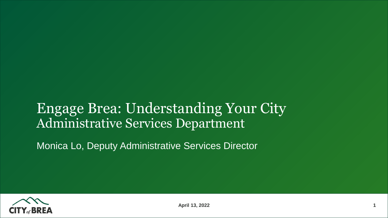# Engage Brea: Understanding Your City Administrative Services Department

Monica Lo, Deputy Administrative Services Director

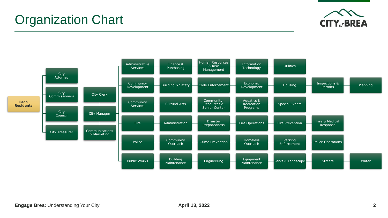



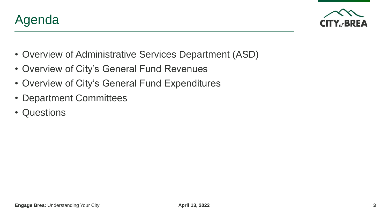

- 
- Overview of Administrative Services Department (ASD)
- Overview of City's General Fund Revenues
- Overview of City's General Fund Expenditures
- Department Committees
- Questions

Agenda

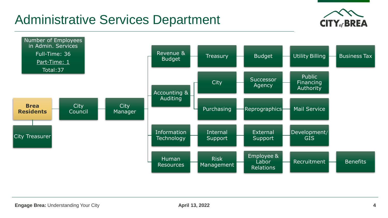# Administrative Services Department



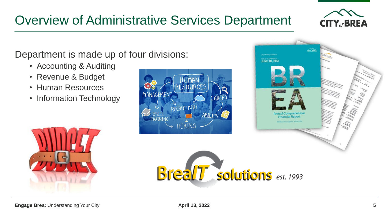# Overview of Administrative Services Department

**CO255** 

### Department is made up of four divisions:

- Accounting & Auditing
- Revenue & Budget
- Human Resources
- Information Technology





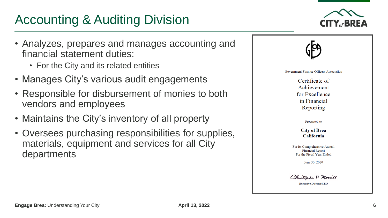# Accounting & Auditing Division

- Analyzes, prepares and manages accounting and financial statement duties:
	- For the City and its related entities
- Manages City's various audit engagements
- Responsible for disbursement of monies to both vendors and employees
- Maintains the City's inventory of all property
- Oversees purchasing responsibilities for supplies, materials, equipment and services for all City departments



Government Finance Officers Association

Certificate of Achievement for Excellence in Financial Reporting

Presented to

**City of Brea** California

For its Comprehensive Annual **Financial Report** For the Fiscal Year Ended

June 30, 2020

Christopher P. Morrill

**Executive Director/CEO**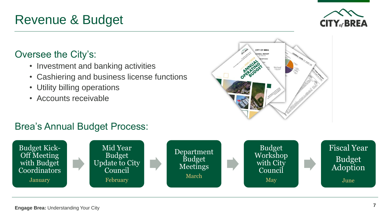**Engage Brea:** Understanding Your City

#### **7**

# Brea's Annual Budget Process:



# Revenue & Budget

# Oversee the City's:

- Investment and banking activities
- Cashiering and business license functions
- Utility billing operations
- Accounts receivable



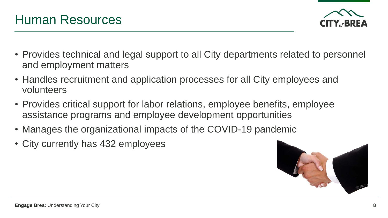

Human Resources

- Provides technical and legal support to all City departments related to personnel and employment matters
- Handles recruitment and application processes for all City employees and volunteers
- Provides critical support for labor relations, employee benefits, employee assistance programs and employee development opportunities
- Manages the organizational impacts of the COVID-19 pandemic
- City currently has 432 employees

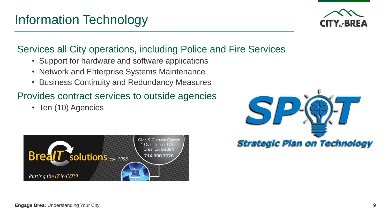Information Technology

- Support for hardware and software applications
- Network and Enterprise Systems Maintenance
- Business Continuity and Redundancy Measures

### Provides contract services to outside agencies

• Ten (10) Agencies









**Strategic Plan on Technology**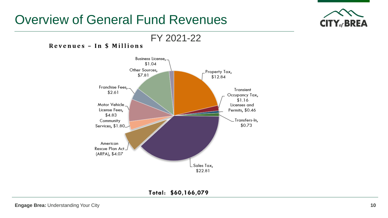## Overview of General Fund Revenues



#### FY 2021-22 Revenues - In \$ Millions



Total: \$60,166,079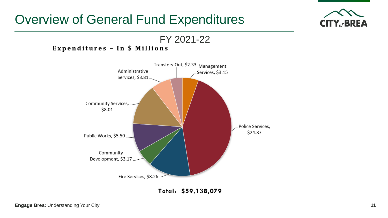## Overview of General Fund Expenditures



FY 2021-22

#### Expenditures - In \$ Millions



Total: \$59,138,079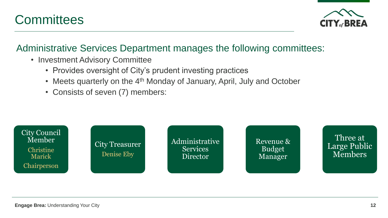



#### Administrative Services Department manages the following committees:

- Investment Advisory Committee
	- Provides oversight of City's prudent investing practices
	- Meets quarterly on the 4<sup>th</sup> Monday of January, April, July and October
	- Consists of seven (7) members:

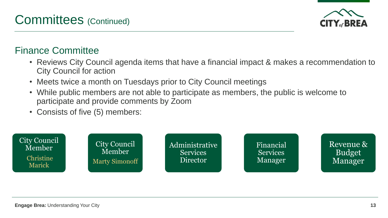## Committees (Continued)

### Finance Committee

- Reviews City Council agenda items that have a financial impact & makes a recommendation to City Council for action
- Meets twice a month on Tuesdays prior to City Council meetings
- While public members are not able to participate as members, the public is welcome to participate and provide comments by Zoom
- Consists of five (5) members: